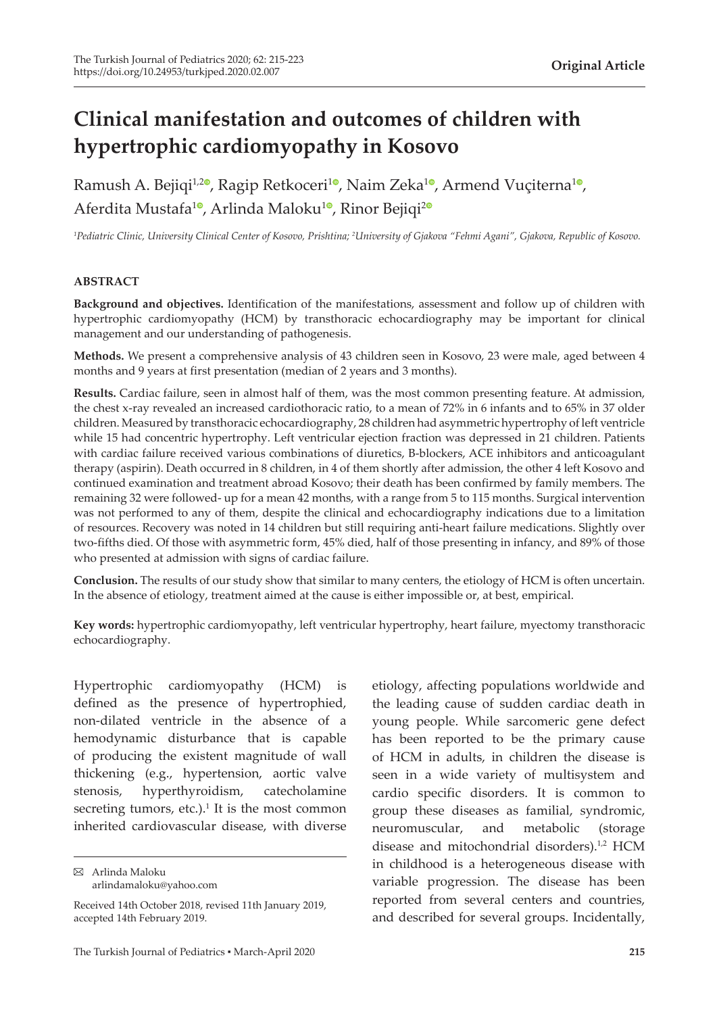# **Clinical manifestation and outcomes of children with hypertrophic cardiomyopathy in Kosovo**

Ramush A. Bejiqi<sup>1[,](https://orcid.org/0000-0002-1716-2036)2</sup>, Ragip Retkoceri<sup>[1](https://orcid.org/0000-0002-5552-0359)</sup>, Naim Zeka<sup>1</sup>, Armend Vuçiterna<sup>1</sup>, Aferdita Mustafa<sup>[1](https://orcid.org/0000-0002-1616-8911)0</sup>[,](https://orcid.org/0000-0001-7733-797X) Arlinda Maloku<sup>10</sup>, Rinor Bejiqi<sup>[2](https://orcid.org/0000-0001-6456-0451)0</sup>

*1 Pediatric Clinic, University Clinical Center of Kosovo, Prishtina; 2 University of Gjakova "Fehmi Agani", Gjakova, Republic of Kosovo.*

#### **ABSTRACT**

**Background and objectives.** Identification of the manifestations, assessment and follow up of children with hypertrophic cardiomyopathy (HCM) by transthoracic echocardiography may be important for clinical management and our understanding of pathogenesis.

**Methods.** We present a comprehensive analysis of 43 children seen in Kosovo, 23 were male, aged between 4 months and 9 years at first presentation (median of 2 years and 3 months).

**Results.** Cardiac failure, seen in almost half of them, was the most common presenting feature. At admission, the chest x-ray revealed an increased cardiothoracic ratio, to a mean of 72% in 6 infants and to 65% in 37 older children. Measured by transthoracic echocardiography, 28 children had asymmetric hypertrophy of left ventricle while 15 had concentric hypertrophy. Left ventricular ejection fraction was depressed in 21 children. Patients with cardiac failure received various combinations of diuretics, B-blockers, ACE inhibitors and anticoagulant therapy (aspirin). Death occurred in 8 children, in 4 of them shortly after admission, the other 4 left Kosovo and continued examination and treatment abroad Kosovo; their death has been confirmed by family members. The remaining 32 were followed- up for a mean 42 months, with a range from 5 to 115 months. Surgical intervention was not performed to any of them, despite the clinical and echocardiography indications due to a limitation of resources. Recovery was noted in 14 children but still requiring anti-heart failure medications. Slightly over two-fifths died. Of those with asymmetric form, 45% died, half of those presenting in infancy, and 89% of those who presented at admission with signs of cardiac failure.

**Conclusion.** The results of our study show that similar to many centers, the etiology of HCM is often uncertain. In the absence of etiology, treatment aimed at the cause is either impossible or, at best, empirical.

**Key words:** hypertrophic cardiomyopathy, left ventricular hypertrophy, heart failure, myectomy transthoracic echocardiography.

Hypertrophic cardiomyopathy (HCM) is defined as the presence of hypertrophied, non-dilated ventricle in the absence of a hemodynamic disturbance that is capable of producing the existent magnitude of wall thickening (e.g., hypertension, aortic valve stenosis, hyperthyroidism, catecholamine secreting tumors, etc.). $<sup>1</sup>$  It is the most common</sup> inherited cardiovascular disease, with diverse

Arlinda Maloku arlindamaloku@yahoo.com etiology, affecting populations worldwide and the leading cause of sudden cardiac death in young people. While sarcomeric gene defect has been reported to be the primary cause of HCM in adults, in children the disease is seen in a wide variety of multisystem and cardio specific disorders. It is common to group these diseases as familial, syndromic, neuromuscular, and metabolic (storage disease and mitochondrial disorders).<sup>1,2</sup> HCM in childhood is a heterogeneous disease with variable progression. The disease has been reported from several centers and countries, and described for several groups. Incidentally,

Received 14th October 2018, revised 11th January 2019, accepted 14th February 2019.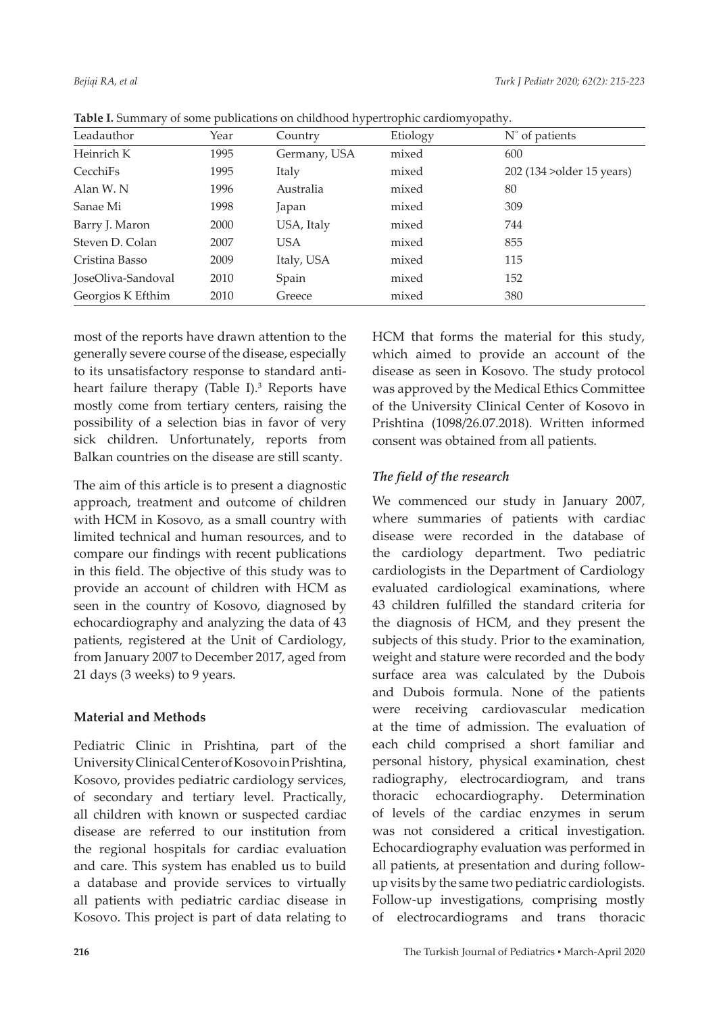|                    |      | . .          |          |                            |
|--------------------|------|--------------|----------|----------------------------|
| Leadauthor         | Year | Country      | Etiology | $N^{\circ}$ of patients    |
| Heinrich K         | 1995 | Germany, USA | mixed    | 600                        |
| CecchiFs           | 1995 | Italy        | mixed    | 202 (134 > older 15 years) |
| Alan W.N           | 1996 | Australia    | mixed    | 80                         |
| Sanae Mi           | 1998 | Japan        | mixed    | 309                        |
| Barry J. Maron     | 2000 | USA, Italy   | mixed    | 744                        |
| Steven D. Colan    | 2007 | USA.         | mixed    | 855                        |
| Cristina Basso     | 2009 | Italy, USA   | mixed    | 115                        |
| JoseOliva-Sandoval | 2010 | Spain        | mixed    | 152                        |
| Georgios K Efthim  | 2010 | Greece       | mixed    | 380                        |

**Table I.** Summary of some publications on childhood hypertrophic cardiomyopathy.

most of the reports have drawn attention to the generally severe course of the disease, especially to its unsatisfactory response to standard antiheart failure therapy (Table I).<sup>3</sup> Reports have mostly come from tertiary centers, raising the possibility of a selection bias in favor of very sick children. Unfortunately, reports from Balkan countries on the disease are still scanty.

The aim of this article is to present a diagnostic approach, treatment and outcome of children with HCM in Kosovo, as a small country with limited technical and human resources, and to compare our findings with recent publications in this field. The objective of this study was to provide an account of children with HCM as seen in the country of Kosovo, diagnosed by echocardiography and analyzing the data of 43 patients, registered at the Unit of Cardiology, from January 2007 to December 2017, aged from 21 days (3 weeks) to 9 years.

# **Material and Methods**

Pediatric Clinic in Prishtina, part of the University Clinical Center of Kosovo in Prishtina, Kosovo, provides pediatric cardiology services, of secondary and tertiary level. Practically, all children with known or suspected cardiac disease are referred to our institution from the regional hospitals for cardiac evaluation and care. This system has enabled us to build a database and provide services to virtually all patients with pediatric cardiac disease in Kosovo. This project is part of data relating to

HCM that forms the material for this study, which aimed to provide an account of the disease as seen in Kosovo. The study protocol was approved by the Medical Ethics Committee of the University Clinical Center of Kosovo in Prishtina (1098/26.07.2018). Written informed consent was obtained from all patients.

# *The field of the research*

We commenced our study in January 2007, where summaries of patients with cardiac disease were recorded in the database of the cardiology department. Two pediatric cardiologists in the Department of Cardiology evaluated cardiological examinations, where 43 children fulfilled the standard criteria for the diagnosis of HCM, and they present the subjects of this study. Prior to the examination, weight and stature were recorded and the body surface area was calculated by the Dubois and Dubois formula. None of the patients were receiving cardiovascular medication at the time of admission. The evaluation of each child comprised a short familiar and personal history, physical examination, chest radiography, electrocardiogram, and trans thoracic echocardiography. Determination of levels of the cardiac enzymes in serum was not considered a critical investigation. Echocardiography evaluation was performed in all patients, at presentation and during followup visits by the same two pediatric cardiologists. Follow-up investigations, comprising mostly of electrocardiograms and trans thoracic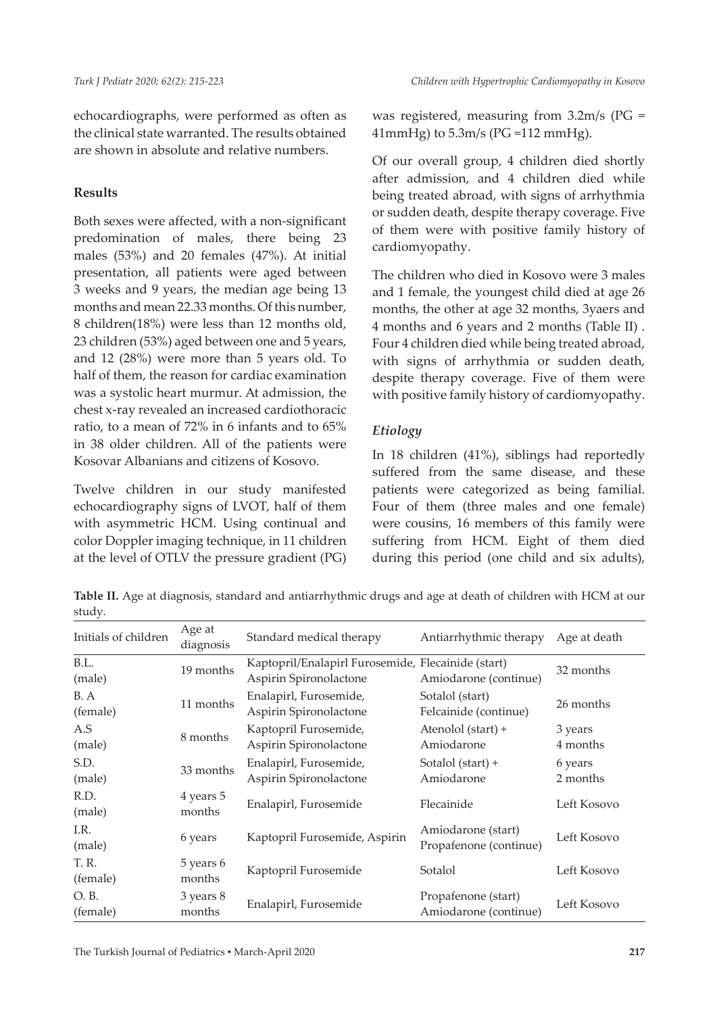echocardiographs, were performed as often as the clinical state warranted. The results obtained are shown in absolute and relative numbers.

## **Results**

Both sexes were affected, with a non-significant predomination of males, there being 23 males (53%) and 20 females (47%). At initial presentation, all patients were aged between 3 weeks and 9 years, the median age being 13 months and mean 22.33 months. Of this number, 8 children(18%) were less than 12 months old, 23 children (53%) aged between one and 5 years, and 12 (28%) were more than 5 years old. To half of them, the reason for cardiac examination was a systolic heart murmur. At admission, the chest x-ray revealed an increased cardiothoracic ratio, to a mean of 72% in 6 infants and to 65% in 38 older children. All of the patients were Kosovar Albanians and citizens of Kosovo.

Twelve children in our study manifested echocardiography signs of LVOT, half of them with asymmetric HCM. Using continual and color Doppler imaging technique, in 11 children at the level of OTLV the pressure gradient (PG) was registered, measuring from 3.2m/s (PG = 41mmHg) to 5.3m/s (PG =112 mmHg).

Of our overall group, 4 children died shortly after admission, and 4 children died while being treated abroad, with signs of arrhythmia or sudden death, despite therapy coverage. Five of them were with positive family history of cardiomyopathy.

The children who died in Kosovo were 3 males and 1 female, the youngest child died at age 26 months, the other at age 32 months, 3yaers and 4 months and 6 years and 2 months (Table II) . Four 4 children died while being treated abroad, with signs of arrhythmia or sudden death, despite therapy coverage. Five of them were with positive family history of cardiomyopathy.

# *Etiology*

In 18 children (41%), siblings had reportedly suffered from the same disease, and these patients were categorized as being familial. Four of them (three males and one female) were cousins, 16 members of this family were suffering from HCM. Eight of them died during this period (one child and six adults),

**Table II.** Age at diagnosis, standard and antiarrhythmic drugs and age at death of children with HCM at our study.

| Initials of children | Age at<br>diagnosis | Standard medical therapy                           | Antiarrhythmic therapy | Age at death |
|----------------------|---------------------|----------------------------------------------------|------------------------|--------------|
| B.L.                 | 19 months           | Kaptopril/Enalapirl Furosemide, Flecainide (start) |                        | 32 months    |
| (male)               |                     | Aspirin Spironolactone                             | Amiodarone (continue)  |              |
| B.A                  |                     | Enalapirl, Furosemide,                             | Sotalol (start)        | 26 months    |
| (female)             | 11 months           | Aspirin Spironolactone                             | Felcainide (continue)  |              |
| A.S                  | 8 months            | Kaptopril Furosemide,                              | Atenolol (start) +     | 3 years      |
| (male)               |                     | Aspirin Spironolactone                             | Amiodarone             | 4 months     |
| S.D.                 | 33 months           | Enalapirl, Furosemide,                             | Sotalol (start) +      | 6 years      |
| (male)               |                     | Aspirin Spironolactone                             | Amiodarone             | 2 months     |
| R.D.                 | 4 years 5           | Enalapirl, Furosemide                              | Flecainide             | Left Kosovo  |
| (male)               | months              |                                                    |                        |              |
| I.R.                 |                     |                                                    | Amiodarone (start)     | Left Kosovo  |
| (male)               | 6 years             | Kaptopril Furosemide, Aspirin                      | Propafenone (continue) |              |
| T. R.                | 5 years 6           |                                                    | Sotalol                | Left Kosovo  |
| (female)             | months              | Kaptopril Furosemide                               |                        |              |
| O.B.                 | 3 years 8           |                                                    | Propafenone (start)    | Left Kosovo  |
| (female)             | months              | Enalapirl, Furosemide                              | Amiodarone (continue)  |              |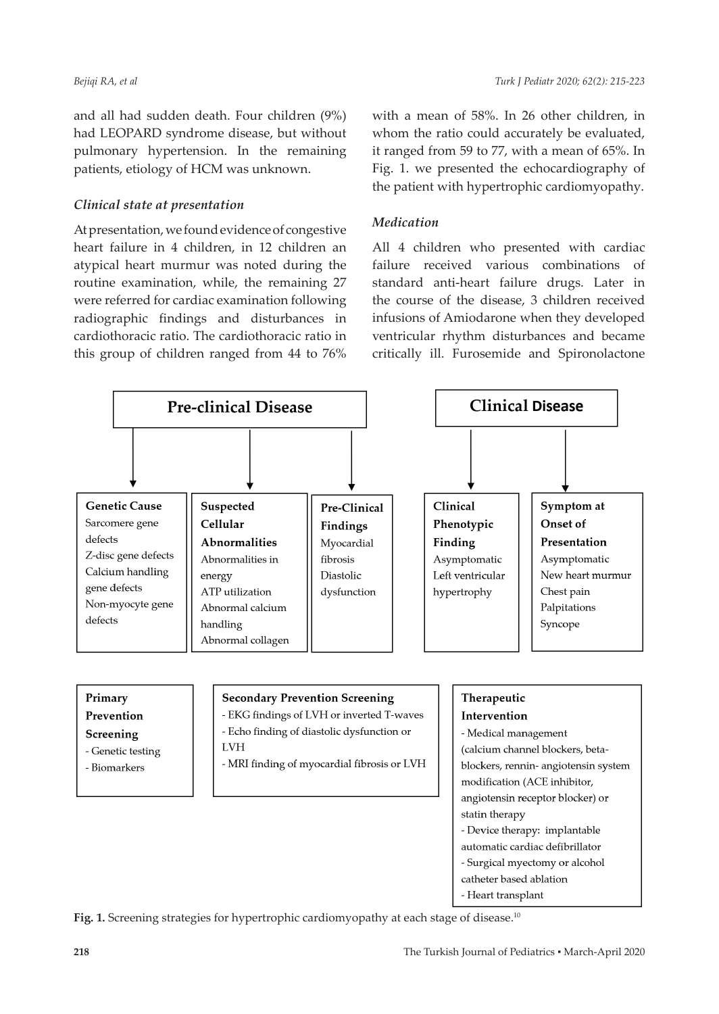and all had sudden death. Four children (9%) had LEOPARD syndrome disease, but without pulmonary hypertension. In the remaining patients, etiology of HCM was unknown.

#### *Clinical state at presentation*

At presentation, we found evidence of congestive heart failure in 4 children, in 12 children an atypical heart murmur was noted during the routine examination, while, the remaining 27 were referred for cardiac examination following radiographic findings and disturbances in cardiothoracic ratio. The cardiothoracic ratio in this group of children ranged from 44 to 76%

with a mean of 58%. In 26 other children, in whom the ratio could accurately be evaluated, it ranged from 59 to 77, with a mean of 65%. In Fig. 1. we presented the echocardiography of the patient with hypertrophic cardiomyopathy.

#### *Medication*

All 4 children who presented with cardiac failure received various combinations of standard anti-heart failure drugs. Later in the course of the disease, 3 children received infusions of Amiodarone when they developed ventricular rhythm disturbances and became critically ill. Furosemide and Spironolactone



Fig. 1. Screening strategies for hypertrophic cardiomyopathy at each stage of disease.<sup>10</sup>

- Surgical myectomy or alcohol catheter based ablation - Heart transplant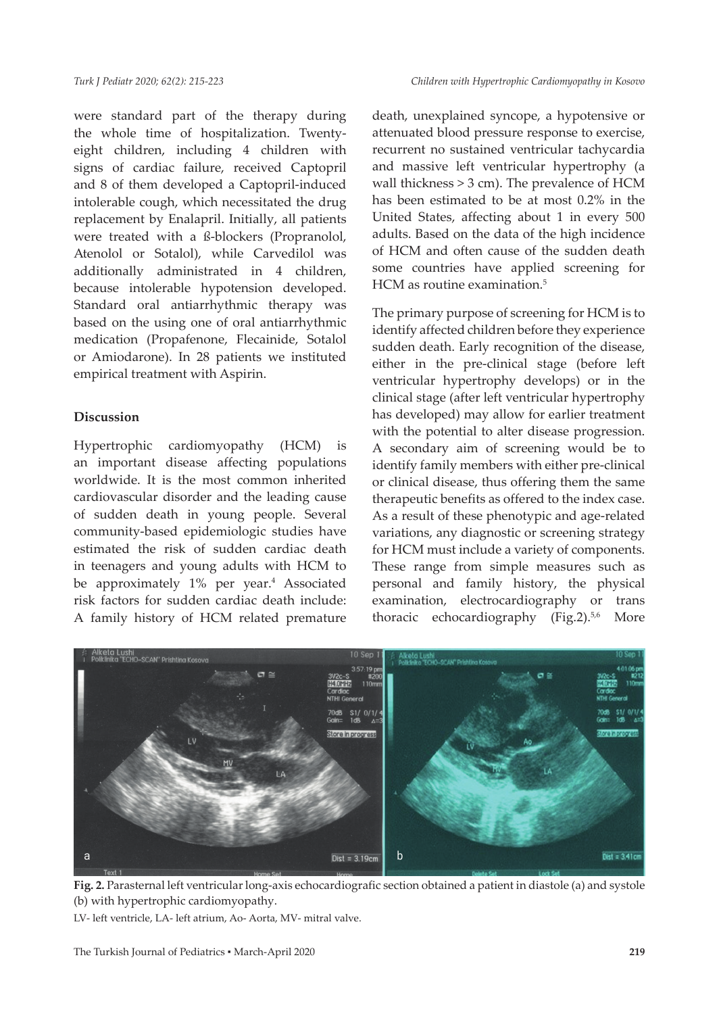were standard part of the therapy during the whole time of hospitalization. Twentyeight children, including 4 children with signs of cardiac failure, received Captopril and 8 of them developed a Captopril-induced intolerable cough, which necessitated the drug replacement by Enalapril. Initially, all patients were treated with a ß-blockers (Propranolol, Atenolol or Sotalol), while Carvedilol was additionally administrated in 4 children, because intolerable hypotension developed. Standard oral antiarrhythmic therapy was based on the using one of oral antiarrhythmic medication (Propafenone, Flecainide, Sotalol or Amiodarone). In 28 patients we instituted empirical treatment with Aspirin.

#### **Discussion**

Hypertrophic cardiomyopathy (HCM) is an important disease affecting populations worldwide. It is the most common inherited cardiovascular disorder and the leading cause of sudden death in young people. Several community-based epidemiologic studies have estimated the risk of sudden cardiac death in teenagers and young adults with HCM to be approximately 1% per year.<sup>4</sup> Associated risk factors for sudden cardiac death include: A family history of HCM related premature

death, unexplained syncope, a hypotensive or attenuated blood pressure response to exercise, recurrent no sustained ventricular tachycardia and massive left ventricular hypertrophy (a wall thickness > 3 cm). The prevalence of HCM has been estimated to be at most 0.2% in the United States, affecting about 1 in every 500 adults. Based on the data of the high incidence of HCM and often cause of the sudden death some countries have applied screening for HCM as routine examination.<sup>5</sup>

The primary purpose of screening for HCM is to identify affected children before they experience sudden death. Early recognition of the disease, either in the pre-clinical stage (before left ventricular hypertrophy develops) or in the clinical stage (after left ventricular hypertrophy has developed) may allow for earlier treatment with the potential to alter disease progression. A secondary aim of screening would be to identify family members with either pre-clinical or clinical disease, thus offering them the same therapeutic benefits as offered to the index case. As a result of these phenotypic and age-related variations, any diagnostic or screening strategy for HCM must include a variety of components. These range from simple measures such as personal and family history, the physical examination, electrocardiography or trans thoracic echocardiography (Fig.2).<sup>5,6</sup> More



**Fig. 2.** Parasternal left ventricular long-axis echocardiografic section obtained a patient in diastole (a) and systole (b) with hypertrophic cardiomyopathy.

LV- left ventricle, LA- left atrium, Ao- Aorta, MV- mitral valve.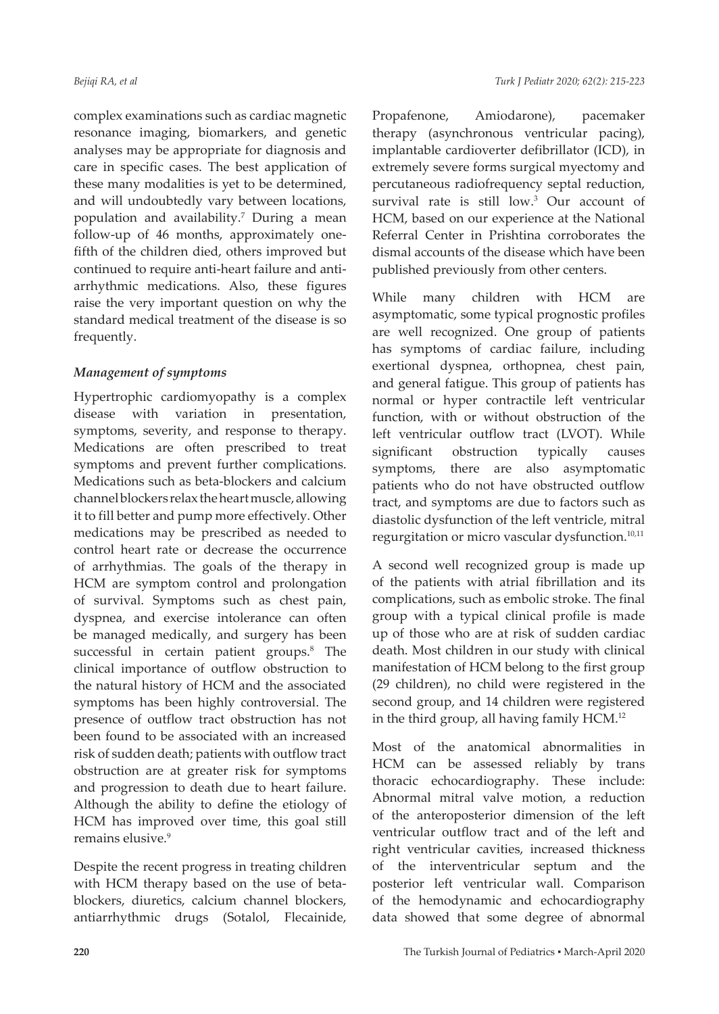complex examinations such as cardiac magnetic resonance imaging, biomarkers, and genetic analyses may be appropriate for diagnosis and care in specific cases. The best application of these many modalities is yet to be determined, and will undoubtedly vary between locations, population and availability.7 During a mean follow-up of 46 months, approximately onefifth of the children died, others improved but continued to require anti-heart failure and antiarrhythmic medications. Also, these figures raise the very important question on why the standard medical treatment of the disease is so frequently.

## *Management of symptoms*

Hypertrophic cardiomyopathy is a complex disease with variation in presentation, symptoms, severity, and response to therapy. Medications are often prescribed to treat symptoms and prevent further complications. Medications such as beta-blockers and calcium channel blockers relax the heart muscle, allowing it to fill better and pump more effectively. Other medications may be prescribed as needed to control heart rate or decrease the occurrence of arrhythmias. The goals of the therapy in HCM are symptom control and prolongation of survival. Symptoms such as chest pain, dyspnea, and exercise intolerance can often be managed medically, and surgery has been successful in certain patient groups.<sup>8</sup> The clinical importance of outflow obstruction to the natural history of HCM and the associated symptoms has been highly controversial. The presence of outflow tract obstruction has not been found to be associated with an increased risk of sudden death; patients with outflow tract obstruction are at greater risk for symptoms and progression to death due to heart failure. Although the ability to define the etiology of HCM has improved over time, this goal still remains elusive.<sup>9</sup>

Despite the recent progress in treating children with HCM therapy based on the use of betablockers, diuretics, calcium channel blockers, antiarrhythmic drugs (Sotalol, Flecainide,

Propafenone, Amiodarone), pacemaker therapy (asynchronous ventricular pacing), implantable cardioverter defibrillator (ICD), in extremely severe forms surgical myectomy and percutaneous radiofrequency septal reduction, survival rate is still low.<sup>3</sup> Our account of HCM, based on our experience at the National Referral Center in Prishtina corroborates the dismal accounts of the disease which have been published previously from other centers.

While many children with HCM are asymptomatic, some typical prognostic profiles are well recognized. One group of patients has symptoms of cardiac failure, including exertional dyspnea, orthopnea, chest pain, and general fatigue. This group of patients has normal or hyper contractile left ventricular function, with or without obstruction of the left ventricular outflow tract (LVOT). While significant obstruction typically causes symptoms, there are also asymptomatic patients who do not have obstructed outflow tract, and symptoms are due to factors such as diastolic dysfunction of the left ventricle, mitral regurgitation or micro vascular dysfunction.<sup>10,11</sup>

A second well recognized group is made up of the patients with atrial fibrillation and its complications, such as embolic stroke. The final group with a typical clinical profile is made up of those who are at risk of sudden cardiac death. Most children in our study with clinical manifestation of HCM belong to the first group (29 children), no child were registered in the second group, and 14 children were registered in the third group, all having family HCM.12

Most of the anatomical abnormalities in HCM can be assessed reliably by trans thoracic echocardiography. These include: Abnormal mitral valve motion, a reduction of the anteroposterior dimension of the left ventricular outflow tract and of the left and right ventricular cavities, increased thickness of the interventricular septum and the posterior left ventricular wall. Comparison of the hemodynamic and echocardiography data showed that some degree of abnormal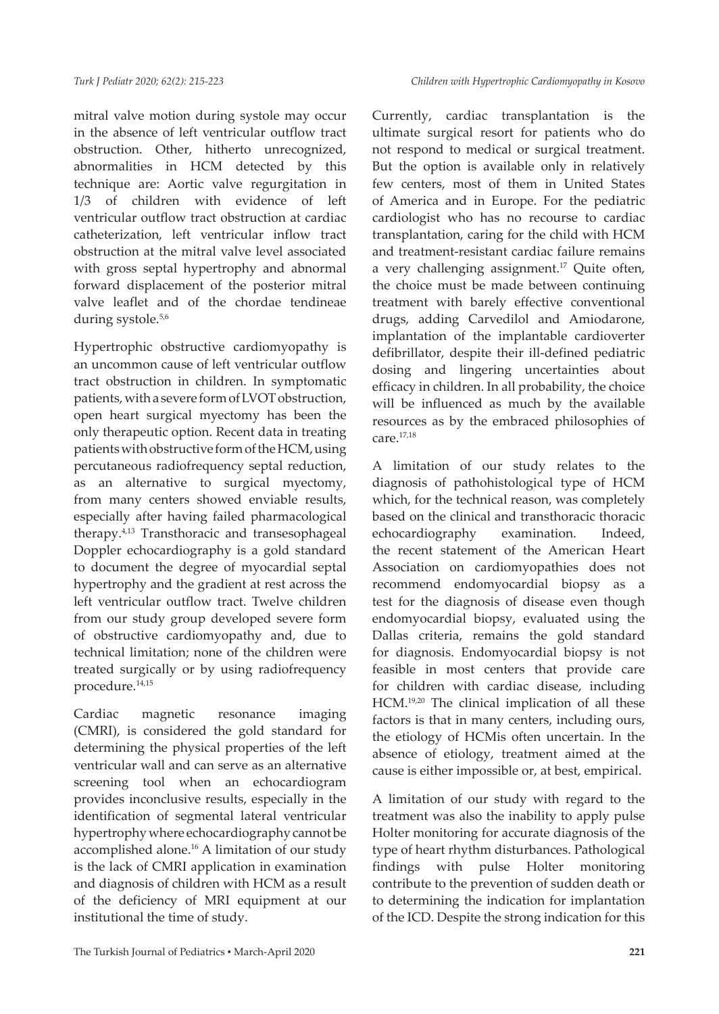mitral valve motion during systole may occur in the absence of left ventricular outflow tract obstruction. Other, hitherto unrecognized, abnormalities in HCM detected by this technique are: Aortic valve regurgitation in 1/3 of children with evidence of left ventricular outflow tract obstruction at cardiac catheterization, left ventricular inflow tract obstruction at the mitral valve level associated with gross septal hypertrophy and abnormal forward displacement of the posterior mitral valve leaflet and of the chordae tendineae during systole.<sup>5,6</sup>

Hypertrophic obstructive cardiomyopathy is an uncommon cause of left ventricular outflow tract obstruction in children. In symptomatic patients, with a severe form of LVOT obstruction, open heart surgical myectomy has been the only therapeutic option. Recent data in treating patients with obstructive form of the HCM, using percutaneous radiofrequency septal reduction, as an alternative to surgical myectomy, from many centers showed enviable results, especially after having failed pharmacological therapy.4,13 Transthoracic and transesophageal Doppler echocardiography is a gold standard to document the degree of myocardial septal hypertrophy and the gradient at rest across the left ventricular outflow tract. Twelve children from our study group developed severe form of obstructive cardiomyopathy and, due to technical limitation; none of the children were treated surgically or by using radiofrequency procedure.14,15

Cardiac magnetic resonance imaging (CMRI), is considered the gold standard for determining the physical properties of the left ventricular wall and can serve as an alternative screening tool when an echocardiogram provides inconclusive results, especially in the identification of segmental lateral ventricular hypertrophy where echocardiography cannot be accomplished alone.<sup>16</sup> A limitation of our study is the lack of CMRI application in examination and diagnosis of children with HCM as a result of the deficiency of MRI equipment at our institutional the time of study.

Currently, cardiac transplantation is the ultimate surgical resort for patients who do not respond to medical or surgical treatment. But the option is available only in relatively few centers, most of them in United States of America and in Europe. For the pediatric cardiologist who has no recourse to cardiac transplantation, caring for the child with HCM and treatment-resistant cardiac failure remains a very challenging assignment.17 Quite often, the choice must be made between continuing treatment with barely effective conventional drugs, adding Carvedilol and Amiodarone, implantation of the implantable cardioverter defibrillator, despite their ill-defined pediatric dosing and lingering uncertainties about efficacy in children. In all probability, the choice will be influenced as much by the available resources as by the embraced philosophies of care.17,18

A limitation of our study relates to the diagnosis of pathohistological type of HCM which, for the technical reason, was completely based on the clinical and transthoracic thoracic echocardiography examination. Indeed, the recent statement of the American Heart Association on cardiomyopathies does not recommend endomyocardial biopsy as a test for the diagnosis of disease even though endomyocardial biopsy, evaluated using the Dallas criteria, remains the gold standard for diagnosis. Endomyocardial biopsy is not feasible in most centers that provide care for children with cardiac disease, including HCM.19,20 The clinical implication of all these factors is that in many centers, including ours, the etiology of HCMis often uncertain. In the absence of etiology, treatment aimed at the cause is either impossible or, at best, empirical.

A limitation of our study with regard to the treatment was also the inability to apply pulse Holter monitoring for accurate diagnosis of the type of heart rhythm disturbances. Pathological findings with pulse Holter monitoring contribute to the prevention of sudden death or to determining the indication for implantation of the ICD. Despite the strong indication for this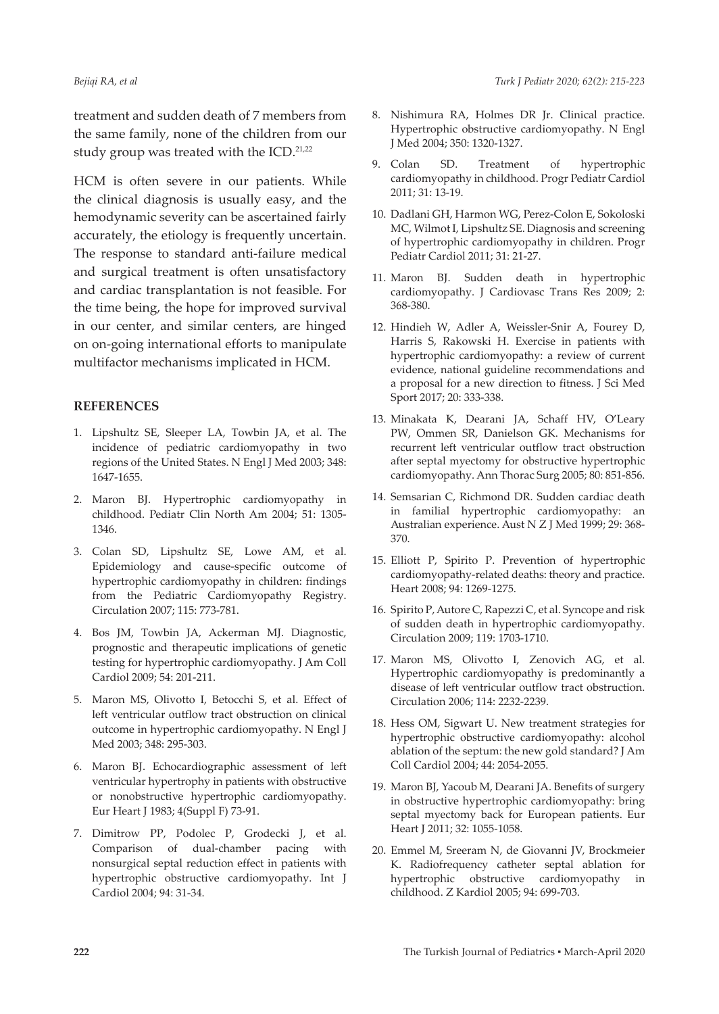treatment and sudden death of 7 members from the same family, none of the children from our study group was treated with the  $ICD$ .<sup>21,22</sup>

HCM is often severe in our patients. While the clinical diagnosis is usually easy, and the hemodynamic severity can be ascertained fairly accurately, the etiology is frequently uncertain. The response to standard anti-failure medical and surgical treatment is often unsatisfactory and cardiac transplantation is not feasible. For the time being, the hope for improved survival in our center, and similar centers, are hinged on on-going international efforts to manipulate multifactor mechanisms implicated in HCM.

#### **REFERENCES**

- 1. Lipshultz SE, Sleeper LA, Towbin JA, et al. The incidence of pediatric cardiomyopathy in two regions of the United States. N Engl J Med 2003; 348: 1647-1655.
- 2. Maron BJ. Hypertrophic cardiomyopathy in childhood. Pediatr Clin North Am 2004; 51: 1305- 1346.
- 3. Colan SD, Lipshultz SE, Lowe AM, et al. Epidemiology and cause-specific outcome of hypertrophic cardiomyopathy in children: findings from the Pediatric Cardiomyopathy Registry. Circulation 2007; 115: 773-781.
- 4. Bos JM, Towbin JA, Ackerman MJ. Diagnostic, prognostic and therapeutic implications of genetic testing for hypertrophic cardiomyopathy. J Am Coll Cardiol 2009; 54: 201-211.
- 5. Maron MS, Olivotto I, Betocchi S, et al. Effect of left ventricular outflow tract obstruction on clinical outcome in hypertrophic cardiomyopathy. N Engl J Med 2003; 348: 295-303.
- 6. Maron BJ. Echocardiographic assessment of left ventricular hypertrophy in patients with obstructive or nonobstructive hypertrophic cardiomyopathy. Eur Heart J 1983; 4(Suppl F) 73-91.
- 7. Dimitrow PP, Podolec P, Grodecki J, et al. Comparison of dual-chamber pacing with nonsurgical septal reduction effect in patients with hypertrophic obstructive cardiomyopathy. Int J Cardiol 2004; 94: 31-34.
- 8. Nishimura RA, Holmes DR Jr. Clinical practice. Hypertrophic obstructive cardiomyopathy. N Engl J Med 2004; 350: 1320-1327.
- 9. Colan SD. Treatment of hypertrophic cardiomyopathy in childhood. Progr Pediatr Cardiol 2011; 31: 13-19.
- 10. Dadlani GH, Harmon WG, Perez-Colon E, Sokoloski MC, Wilmot I, Lipshultz SE. Diagnosis and screening of hypertrophic cardiomyopathy in children. Progr Pediatr Cardiol 2011; 31: 21-27.
- 11. Maron BJ. Sudden death in hypertrophic cardiomyopathy. J Cardiovasc Trans Res 2009; 2: 368-380.
- 12. Hindieh W, Adler A, Weissler-Snir A, Fourey D, Harris S, Rakowski H. Exercise in patients with hypertrophic cardiomyopathy: a review of current evidence, national guideline recommendations and a proposal for a new direction to fitness. J Sci Med Sport 2017; 20: 333-338.
- 13. Minakata K, Dearani JA, Schaff HV, O'Leary PW, Ommen SR, Danielson GK. Mechanisms for recurrent left ventricular outflow tract obstruction after septal myectomy for obstructive hypertrophic cardiomyopathy. Ann Thorac Surg 2005; 80: 851-856.
- 14. Semsarian C, Richmond DR. Sudden cardiac death in familial hypertrophic cardiomyopathy: an Australian experience. Aust N Z J Med 1999; 29: 368- 370.
- 15. Elliott P, Spirito P. Prevention of hypertrophic cardiomyopathy-related deaths: theory and practice. Heart 2008; 94: 1269-1275.
- 16. Spirito P, Autore C, Rapezzi C, et al. Syncope and risk of sudden death in hypertrophic cardiomyopathy. Circulation 2009; 119: 1703-1710.
- 17. Maron MS, Olivotto I, Zenovich AG, et al. Hypertrophic cardiomyopathy is predominantly a disease of left ventricular outflow tract obstruction. Circulation 2006; 114: 2232-2239.
- 18. Hess OM, Sigwart U. New treatment strategies for hypertrophic obstructive cardiomyopathy: alcohol ablation of the septum: the new gold standard? J Am Coll Cardiol 2004; 44: 2054-2055.
- 19. Maron BJ, Yacoub M, Dearani JA. Benefits of surgery in obstructive hypertrophic cardiomyopathy: bring septal myectomy back for European patients. Eur Heart J 2011; 32: 1055-1058.
- 20. Emmel M, Sreeram N, de Giovanni JV, Brockmeier K. Radiofrequency catheter septal ablation for hypertrophic obstructive cardiomyopathy in childhood. Z Kardiol 2005; 94: 699-703.